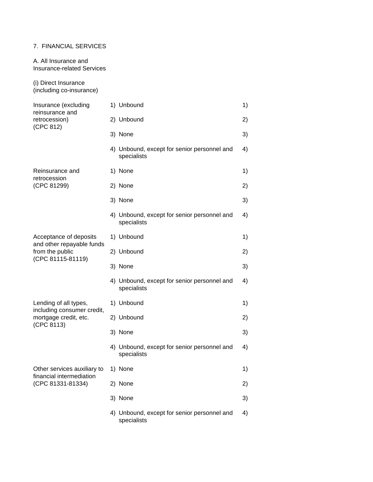## 7. FINANCIAL SERVICES

A. All Insurance and Insurance-related Services

(i) Direct Insurance (including co-insurance)

| Insurance (excluding<br>reinsurance and<br>retrocession)<br>(CPC 812)                       | 1) Unbound                                                 | 1) |
|---------------------------------------------------------------------------------------------|------------------------------------------------------------|----|
|                                                                                             | 2) Unbound                                                 | 2) |
|                                                                                             | 3) None                                                    | 3) |
|                                                                                             | 4) Unbound, except for senior personnel and<br>specialists | 4) |
| Reinsurance and<br>retrocession<br>(CPC 81299)                                              | 1) None                                                    | 1) |
|                                                                                             | 2) None                                                    | 2) |
|                                                                                             | 3) None                                                    | 3) |
|                                                                                             | 4) Unbound, except for senior personnel and<br>specialists | 4) |
| Acceptance of deposits<br>and other repayable funds<br>from the public<br>(CPC 81115-81119) | 1) Unbound                                                 | 1) |
|                                                                                             | 2) Unbound                                                 | 2) |
|                                                                                             | 3) None                                                    | 3) |
|                                                                                             | 4) Unbound, except for senior personnel and<br>specialists | 4) |
| Lending of all types,<br>including consumer credit,<br>mortgage credit, etc.<br>(CPC 8113)  | 1) Unbound                                                 | 1) |
|                                                                                             | 2) Unbound                                                 | 2) |
|                                                                                             | 3) None                                                    | 3) |
|                                                                                             | 4) Unbound, except for senior personnel and<br>specialists | 4) |
| Other services auxiliary to<br>financial intermediation<br>(CPC 81331-81334)                | 1) None                                                    | 1) |
|                                                                                             | 2) None                                                    | 2) |
|                                                                                             | 3) None                                                    | 3) |
|                                                                                             | 4) Unbound, except for senior personnel and<br>specialists | 4) |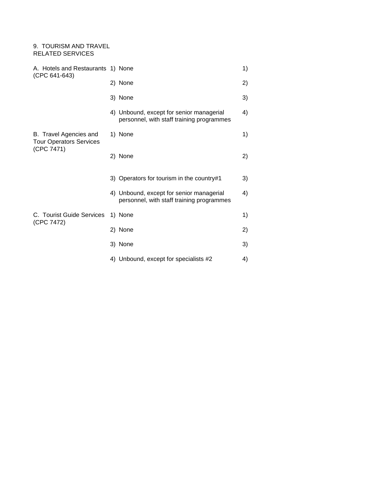## 9. TOURISM AND TRAVEL RELATED SERVICES

| A. Hotels and Restaurants 1) None<br>(CPC 641-643)                     |                                                                                       | 1) |
|------------------------------------------------------------------------|---------------------------------------------------------------------------------------|----|
|                                                                        | 2) None                                                                               | 2) |
|                                                                        | 3) None                                                                               | 3) |
|                                                                        | 4) Unbound, except for senior managerial<br>personnel, with staff training programmes | 4) |
| B. Travel Agencies and<br><b>Tour Operators Services</b><br>(CPC 7471) | 1) None                                                                               | 1) |
|                                                                        | 2) None                                                                               | 2) |
|                                                                        | 3) Operators for tourism in the country#1                                             | 3) |
|                                                                        | 4) Unbound, except for senior managerial<br>personnel, with staff training programmes | 4) |
| C. Tourist Guide Services<br>(CPC 7472)                                | 1) None                                                                               | 1) |
|                                                                        | 2) None                                                                               | 2) |
|                                                                        | 3) None                                                                               | 3) |
|                                                                        | 4) Unbound, except for specialists #2                                                 | 4) |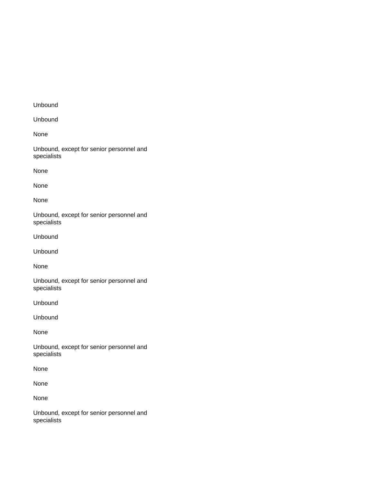## Unbound

Unbound

None

Unbound, except for senior personnel and specialists

None

None

None

Unbound, except for senior personnel and specialists

Unbound

Unbound

None

Unbound, except for senior personnel and specialists

Unbound

Unbound

None

Unbound, except for senior personnel and specialists

None

None

None

Unbound, except for senior personnel and specialists